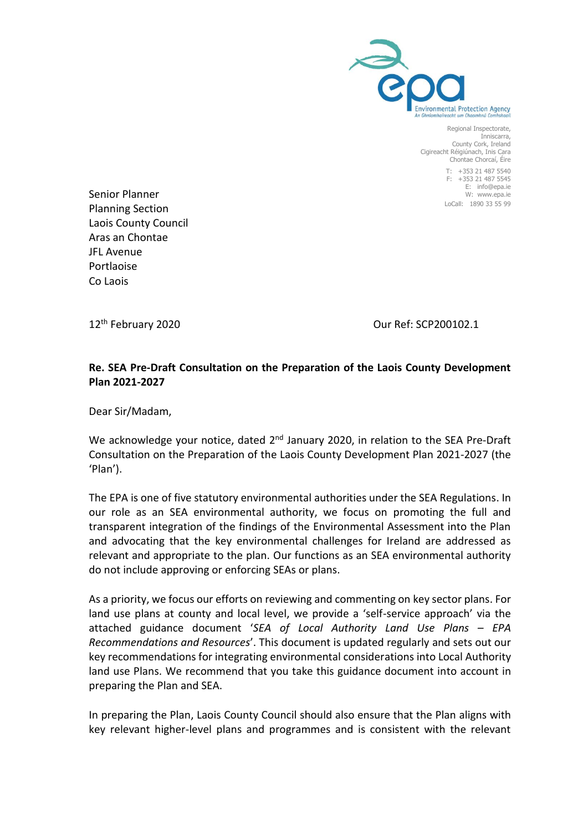

Regional Inspectorate, Inniscarra, County Cork, Ireland Cigireacht Réigiúnach, Inis Cara Chontae Chorcaí, Éire

> T: +353 21 487 5540 F: +353 21 487 5545 E: info@epa.ie W: www.epa.ie LoCall: 1890 33 55 99

Senior Planner Planning Section Laois County Council Aras an Chontae JFL Avenue Portlaoise Co Laois

12<sup>th</sup> February 2020 **Canadian Contract Contract Contract Contract Contract Contract Contract Contract Contract Contract Contract Contract Contract Contract Contract Contract Contract Contract Contract Contract Contract Co** 

# **Re. SEA Pre-Draft Consultation on the Preparation of the Laois County Development Plan 2021-2027**

Dear Sir/Madam,

We acknowledge your notice, dated 2<sup>nd</sup> January 2020, in relation to the SEA Pre-Draft Consultation on the Preparation of the Laois County Development Plan 2021-2027 (the 'Plan').

The EPA is one of five statutory environmental authorities under the SEA Regulations. In our role as an SEA environmental authority, we focus on promoting the full and transparent integration of the findings of the Environmental Assessment into the Plan and advocating that the key environmental challenges for Ireland are addressed as relevant and appropriate to the plan. Our functions as an SEA environmental authority do not include approving or enforcing SEAs or plans.

As a priority, we focus our efforts on reviewing and commenting on key sector plans. For land use plans at county and local level, we provide a 'self-service approach' via the attached guidance document '*SEA of Local Authority Land Use Plans – EPA Recommendations and Resources*'. This document is updated regularly and sets out our key recommendations for integrating environmental considerations into Local Authority land use Plans. We recommend that you take this guidance document into account in preparing the Plan and SEA.

In preparing the Plan, Laois County Council should also ensure that the Plan aligns with key relevant higher-level plans and programmes and is consistent with the relevant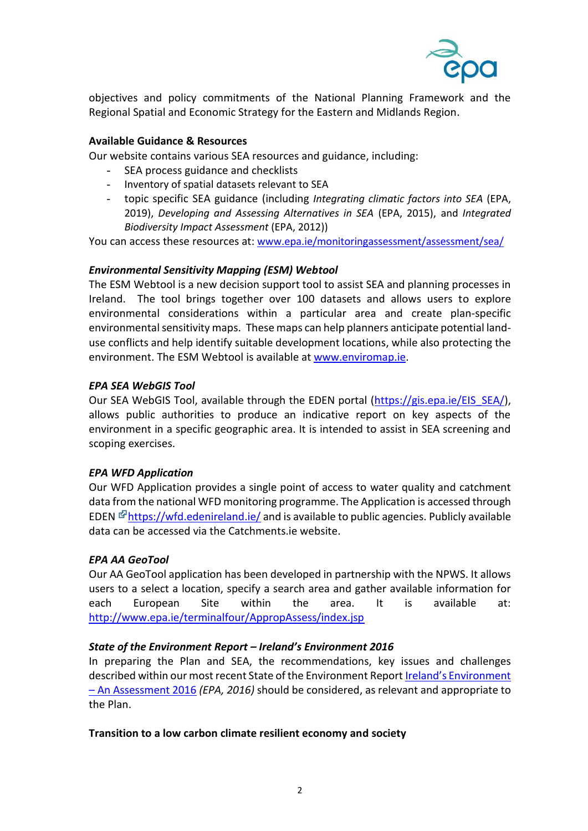

objectives and policy commitments of the National Planning Framework and the Regional Spatial and Economic Strategy for the Eastern and Midlands Region.

## **Available Guidance & Resources**

Our website contains various SEA resources and guidance, including:

- SEA process guidance and checklists
- Inventory of spatial datasets relevant to SEA
- topic specific SEA guidance (including *Integrating climatic factors into SEA* (EPA, 2019), *Developing and Assessing Alternatives in SEA* (EPA, 2015), and *Integrated Biodiversity Impact Assessment* (EPA, 2012))

You can access these resources at: [www.epa.ie/monitoringassessment/assessment/sea/](http://www.epa.ie/monitoringassessment/assessment/sea/)

#### *Environmental Sensitivity Mapping (ESM) Webtool*

The ESM Webtool is a new decision support tool to assist SEA and planning processes in Ireland. The tool brings together over 100 datasets and allows users to explore environmental considerations within a particular area and create plan-specific environmental sensitivity maps. These maps can help planners anticipate potential landuse conflicts and help identify suitable development locations, while also protecting the environment. The ESM Webtool is available a[t www.enviromap.ie.](http://www.enviromap.ie/)

#### *EPA SEA WebGIS Tool*

Our SEA WebGIS Tool, available through the EDEN portal [\(https://gis.epa.ie/EIS\\_SEA/\)](https://gis.epa.ie/EIS_SEA/), allows public authorities to produce an indicative report on key aspects of the environment in a specific geographic area. It is intended to assist in SEA screening and scoping exercises.

### *EPA WFD Application*

Our WFD Application provides a single point of access to water quality and catchment data from the national WFD monitoring programme. The Application is accessed through EDEN  $\mathbb{F}$ https://wfd.edenireland.ie/ and is available to public agencies. Publicly available data can be accessed via the Catchments.ie website.

### *EPA AA GeoTool*

Our AA GeoTool application has been developed in partnership with the NPWS. It allows users to a select a location, specify a search area and gather available information for each European Site within the area. It is available at: <http://www.epa.ie/terminalfour/AppropAssess/index.jsp>

### *State of the Environment Report – Ireland's Environment 2016*

In preparing the Plan and SEA, the recommendations, key issues and challenges described within our most recent State of the Environment Report [Ireland's Environment](http://www.epa.ie/irelandsenvironment/stateoftheenvironmentreport/)  – [An Assessment 2016](http://www.epa.ie/irelandsenvironment/stateoftheenvironmentreport/) *(EPA, 2016)* should be considered, as relevant and appropriate to the Plan.

#### **Transition to a low carbon climate resilient economy and society**